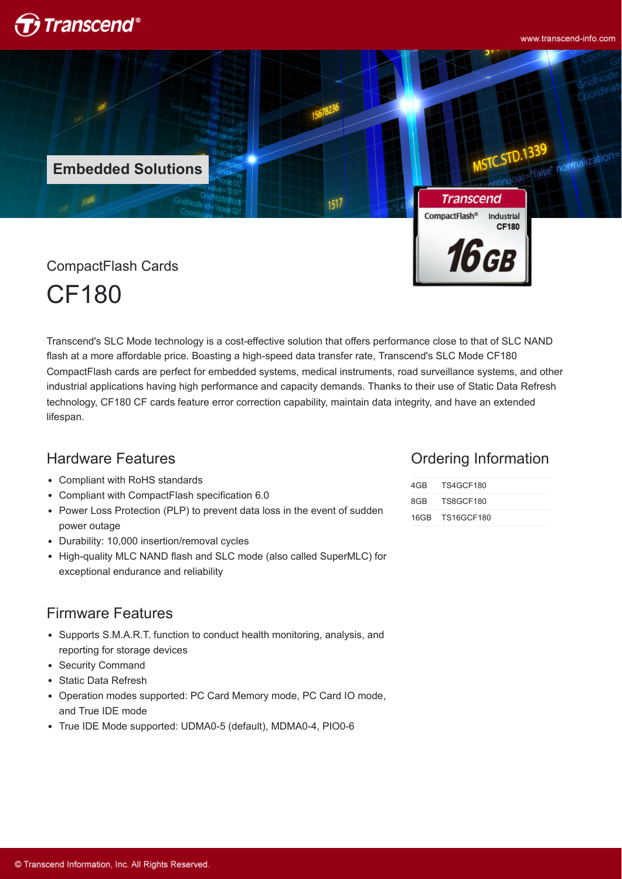

www.transcend-info.com

**39**<br>false" normalizatio

**Embedded Solutions**

**Transcend** CompactFlash<sup>®</sup> Industrial **CF180** 16 св

CompactFlash Cards

CF180

Transcend's SLC Mode technology is a cost-effective solution that offers performance close to that of SLC NAND flash at a more affordable price. Boasting a high-speed data transfer rate, Transcend's SLC Mode CF180 CompactFlash cards are perfect for embedded systems, medical instruments, road surveillance systems, and other industrial applications having high performance and capacity demands. Thanks to their use of Static Data Refresh technology, CF180 CF cards feature error correction capability, maintain data integrity, and have an extended lifespan.

1517

## Hardware Features

- Compliant with RoHS standards
- Compliant with CompactFlash specification 6.0
- Power Loss Protection (PLP) to prevent data loss in the event of sudden power outage
- Durability: 10,000 insertion/removal cycles
- High-quality MLC NAND flash and SLC mode (also called SuperMLC) for exceptional endurance and reliability

## Firmware Features

- Supports S.M.A.R.T. function to conduct health monitoring, analysis, and reporting for storage devices
- Security Command
- Static Data Refresh
- Operation modes supported: PC Card Memory mode, PC Card IO mode, and True IDE mode
- True IDE Mode supported: UDMA0-5 (default), MDMA0-4, PIO0-6

#### Ordering Information

| 4GB TS4GCF180   |  |
|-----------------|--|
| 8GB TS8GCF180   |  |
| 16GB TS16GCF180 |  |